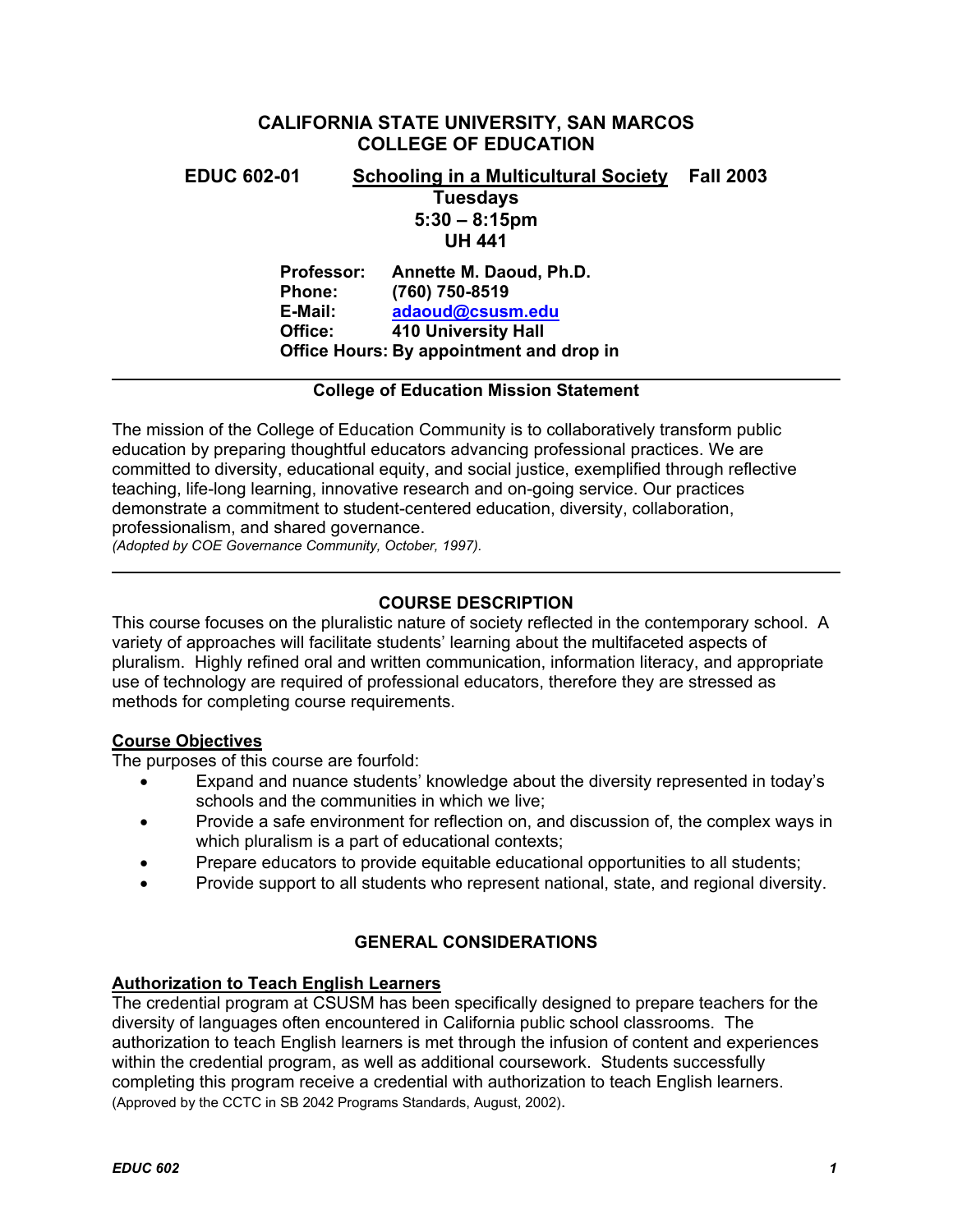# **CALIFORNIA STATE UNIVERSITY, SAN MARCOS COLLEGE OF EDUCATION**

**EDUC 602-01 Schooling in a Multicultural Society Fall 2003 Tuesdays 5:30 – 8:15pm UH 441** 

> **Professor: Annette M. Daoud, Ph.D. Phone: (760) 750-8519 E-Mail: adaoud@csusm.edu Office: 410 University Hall Office Hours: By appointment and drop in**

## **College of Education Mission Statement**

The mission of the College of Education Community is to collaboratively transform public education by preparing thoughtful educators advancing professional practices. We are committed to diversity, educational equity, and social justice, exemplified through reflective teaching, life-long learning, innovative research and on-going service. Our practices demonstrate a commitment to student-centered education, diversity, collaboration, professionalism, and shared governance.

*(Adopted by COE Governance Community, October, 1997).* 

# **COURSE DESCRIPTION**

This course focuses on the pluralistic nature of society reflected in the contemporary school. A variety of approaches will facilitate students' learning about the multifaceted aspects of pluralism. Highly refined oral and written communication, information literacy, and appropriate use of technology are required of professional educators, therefore they are stressed as methods for completing course requirements.

## **Course Objectives**

The purposes of this course are fourfold:

- Expand and nuance students' knowledge about the diversity represented in today's schools and the communities in which we live;
- Provide a safe environment for reflection on, and discussion of, the complex ways in which pluralism is a part of educational contexts;
- Prepare educators to provide equitable educational opportunities to all students;
- Provide support to all students who represent national, state, and regional diversity.

## **GENERAL CONSIDERATIONS**

## **Authorization to Teach English Learners**

The credential program at CSUSM has been specifically designed to prepare teachers for the diversity of languages often encountered in California public school classrooms. The authorization to teach English learners is met through the infusion of content and experiences within the credential program, as well as additional coursework. Students successfully completing this program receive a credential with authorization to teach English learners. (Approved by the CCTC in SB 2042 Programs Standards, August, 2002).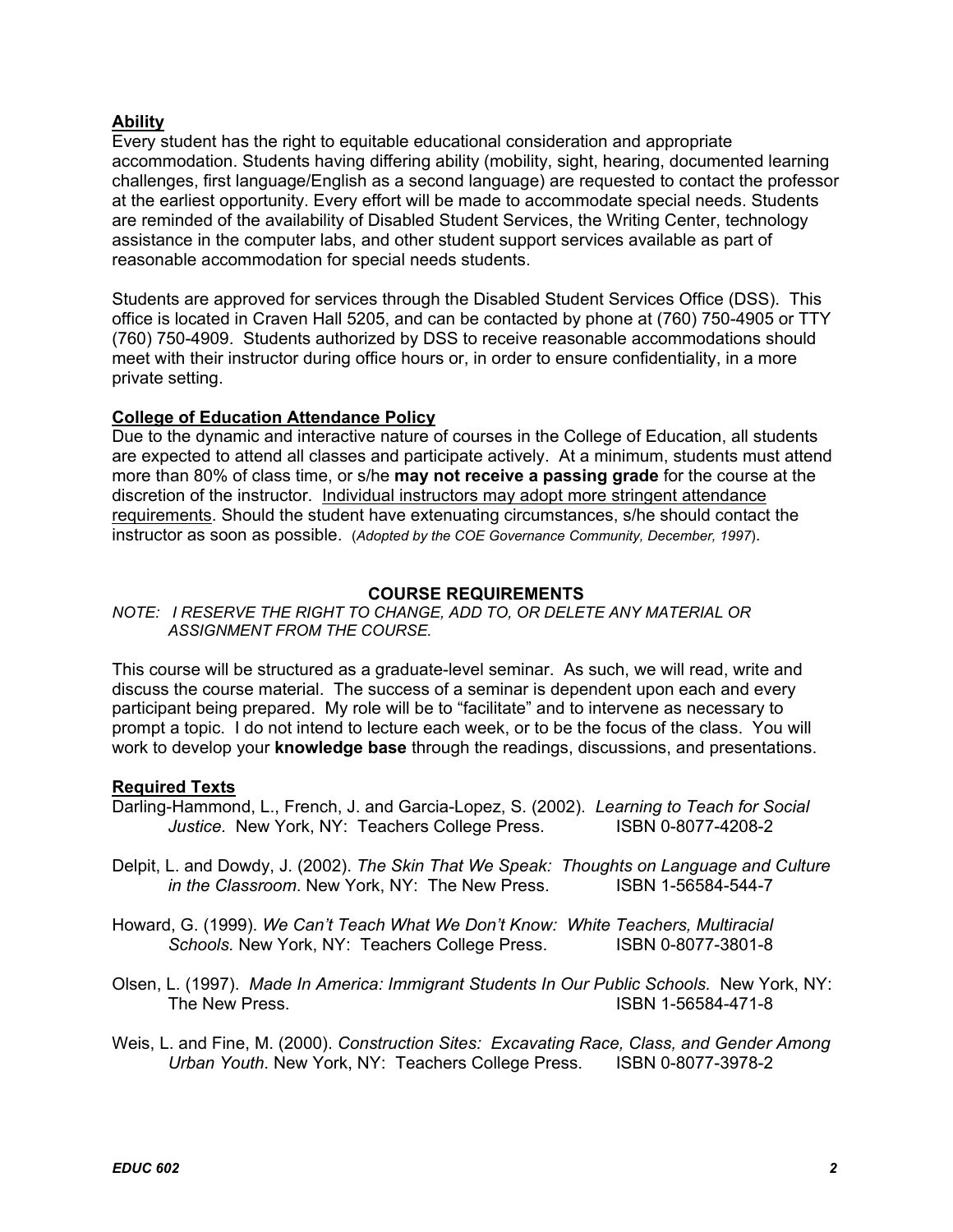# **Ability**

Every student has the right to equitable educational consideration and appropriate accommodation. Students having differing ability (mobility, sight, hearing, documented learning challenges, first language/English as a second language) are requested to contact the professor at the earliest opportunity. Every effort will be made to accommodate special needs. Students are reminded of the availability of Disabled Student Services, the Writing Center, technology assistance in the computer labs, and other student support services available as part of reasonable accommodation for special needs students.

Students are approved for services through the Disabled Student Services Office (DSS). This office is located in Craven Hall 5205, and can be contacted by phone at (760) 750-4905 or TTY (760) 750-4909. Students authorized by DSS to receive reasonable accommodations should meet with their instructor during office hours or, in order to ensure confidentiality, in a more private setting.

## **College of Education Attendance Policy**

Due to the dynamic and interactive nature of courses in the College of Education, all students are expected to attend all classes and participate actively. At a minimum, students must attend more than 80% of class time, or s/he **may not receive a passing grade** for the course at the discretion of the instructor. Individual instructors may adopt more stringent attendance requirements. Should the student have extenuating circumstances, s/he should contact the instructor as soon as possible. (*Adopted by the COE Governance Community, December, 1997*).

## **COURSE REQUIREMENTS**

*NOTE: I RESERVE THE RIGHT TO CHANGE, ADD TO, OR DELETE ANY MATERIAL OR ASSIGNMENT FROM THE COURSE.*

This course will be structured as a graduate-level seminar. As such, we will read, write and discuss the course material. The success of a seminar is dependent upon each and every participant being prepared. My role will be to "facilitate" and to intervene as necessary to prompt a topic. I do not intend to lecture each week, or to be the focus of the class. You will work to develop your **knowledge base** through the readings, discussions, and presentations.

## **Required Texts**

- Darling-Hammond, L., French, J. and Garcia-Lopez, S. (2002). *Learning to Teach for Social*  Justice. New York, NY: Teachers College Press. **ISBN 0-8077-4208-2**
- Delpit, L. and Dowdy, J. (2002). *The Skin That We Speak: Thoughts on Language and Culture in the Classroom.* New York, NY: The New Press. **ISBN 1-56584-544-7**
- Howard, G. (1999). *We Can't Teach What We Don't Know: White Teachers, Multiracial*  Schools. New York, NY: Teachers College Press. **ISBN 0-8077-3801-8**
- Olsen, L. (1997). *Made In America: Immigrant Students In Our Public Schools.* New York, NY: The New Press. ISBN 1-56584-471-8
- Weis, L. and Fine, M. (2000). *Construction Sites: Excavating Race, Class, and Gender Among Urban Youth*. New York, NY: Teachers College Press. ISBN 0-8077-3978-2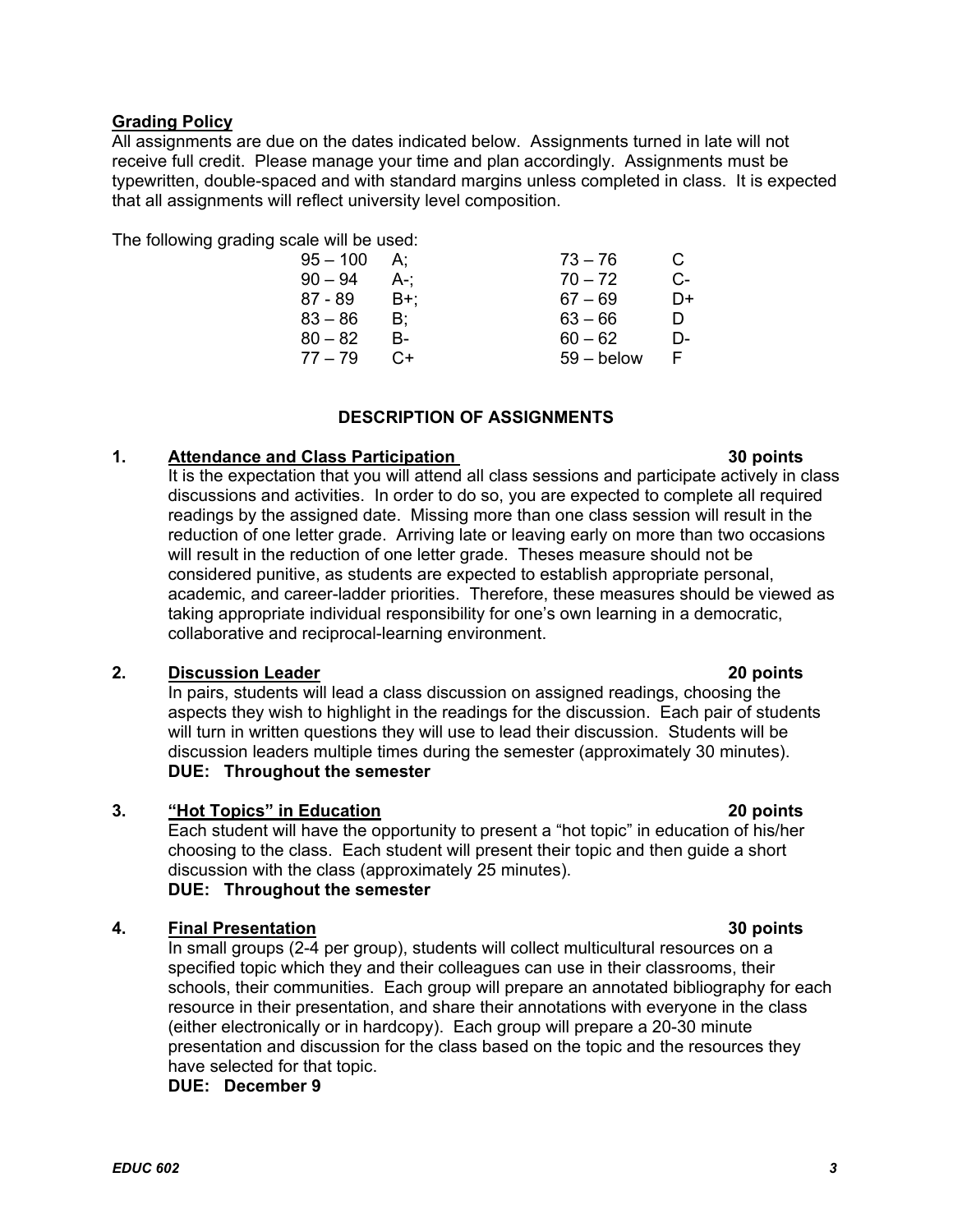## **Grading Policy**

All assignments are due on the dates indicated below. Assignments turned in late will not receive full credit. Please manage your time and plan accordingly. Assignments must be typewritten, double-spaced and with standard margins unless completed in class. It is expected that all assignments will reflect university level composition.

The following grading scale will be used:

| $95 - 100$ | А:    | $73 - 76$    | C  |
|------------|-------|--------------|----|
| $90 - 94$  | A-:   | $70 - 72$    | C- |
| 87 - 89    | - B+: | $67 - 69$    | D+ |
| $83 - 86$  | B:    | 63 – 66      | D  |
| $80 - 82$  | В-    | $60 - 62$    | D- |
| $77 - 79$  | $C+$  | $59 -$ below | F. |
|            |       |              |    |

## **DESCRIPTION OF ASSIGNMENTS**

## **1. Attendance and Class Participation 30 points**

It is the expectation that you will attend all class sessions and participate actively in class discussions and activities. In order to do so, you are expected to complete all required readings by the assigned date. Missing more than one class session will result in the reduction of one letter grade. Arriving late or leaving early on more than two occasions will result in the reduction of one letter grade. Theses measure should not be considered punitive, as students are expected to establish appropriate personal, academic, and career-ladder priorities. Therefore, these measures should be viewed as taking appropriate individual responsibility for one's own learning in a democratic, collaborative and reciprocal-learning environment.

# **2. Discussion Leader 20 points**

In pairs, students will lead a class discussion on assigned readings, choosing the aspects they wish to highlight in the readings for the discussion. Each pair of students will turn in written questions they will use to lead their discussion. Students will be discussion leaders multiple times during the semester (approximately 30 minutes). **DUE: Throughout the semester** 

## **3. "Hot Topics" in Education 20 points**

Each student will have the opportunity to present a "hot topic" in education of his/her choosing to the class. Each student will present their topic and then guide a short discussion with the class (approximately 25 minutes). **DUE: Throughout the semester** 

## **4. Final Presentation 30 points**

In small groups (2-4 per group), students will collect multicultural resources on a specified topic which they and their colleagues can use in their classrooms, their schools, their communities. Each group will prepare an annotated bibliography for each resource in their presentation, and share their annotations with everyone in the class (either electronically or in hardcopy). Each group will prepare a 20-30 minute presentation and discussion for the class based on the topic and the resources they have selected for that topic.

**DUE: December 9**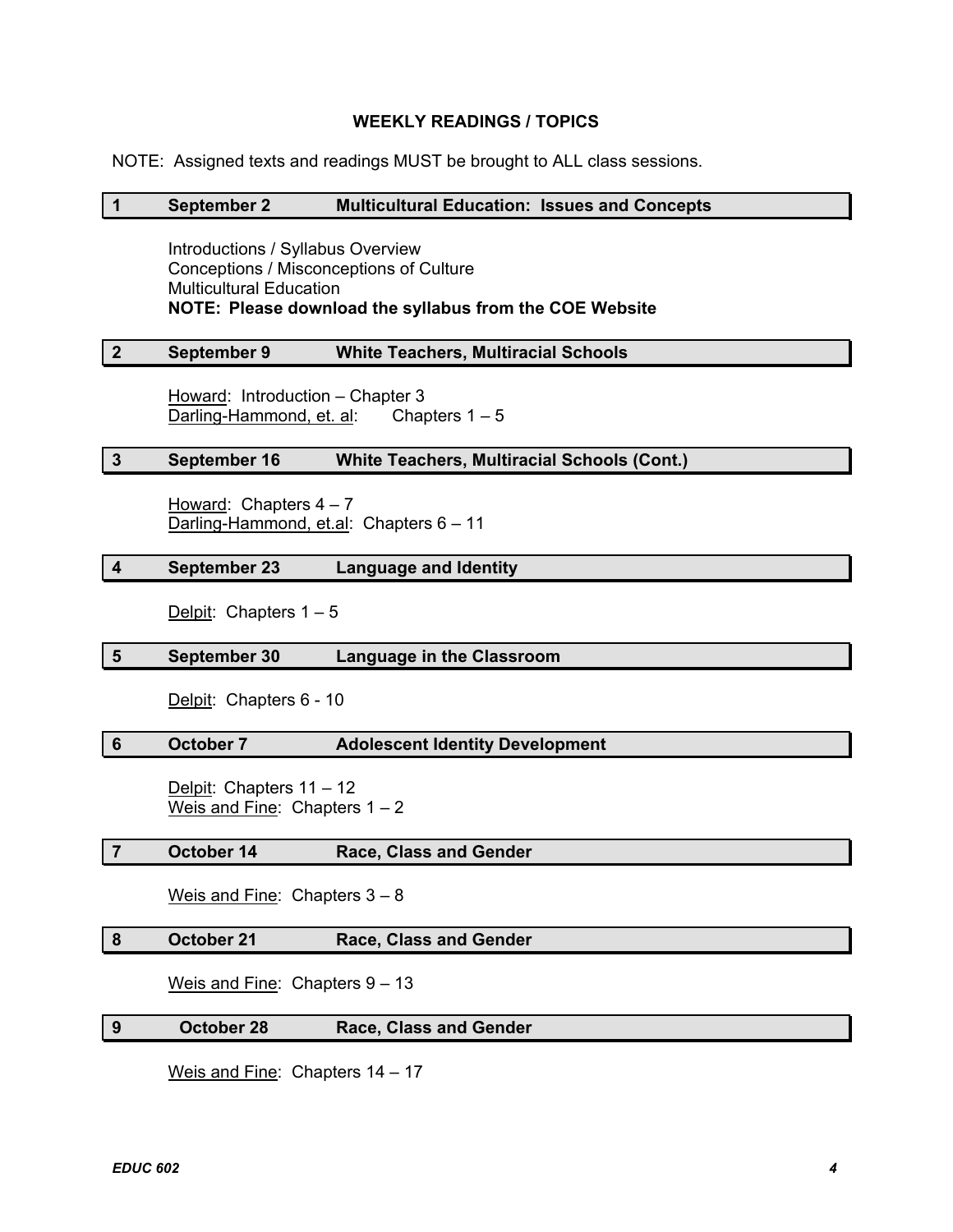## **WEEKLY READINGS / TOPICS**

NOTE: Assigned texts and readings MUST be brought to ALL class sessions.

#### **1 September 2 Multicultural Education: Issues and Concepts**

 Introductions / Syllabus Overview Conceptions / Misconceptions of Culture Multicultural Education **NOTE: Please download the syllabus from the COE Website** 

## **2 September 9 White Teachers, Multiracial Schools**

Howard: Introduction – Chapter 3 Darling-Hammond, et. al: Chapters 1 – 5

#### **3 September 16 White Teachers, Multiracial Schools (Cont.)**

Howard: Chapters  $4 - 7$ Darling-Hammond, et.al: Chapters 6 – 11

#### **4 September 23 Language and Identity**

Delpit: Chapters  $1 - 5$ 

#### **5 September 30 Language in the Classroom**

Delpit: Chapters 6 - 10

#### **6 October 7 Adolescent Identity Development**

 Delpit: Chapters 11 – 12 Weis and Fine: Chapters  $1 - 2$ 

#### **7 October 14 Race, Class and Gender**

Weis and Fine: Chapters 3 – 8

# **8 October 21 Race, Class and Gender**

Weis and Fine: Chapters 9 - 13

## **9 October 28 Race, Class and Gender**

Weis and Fine: Chapters 14 – 17